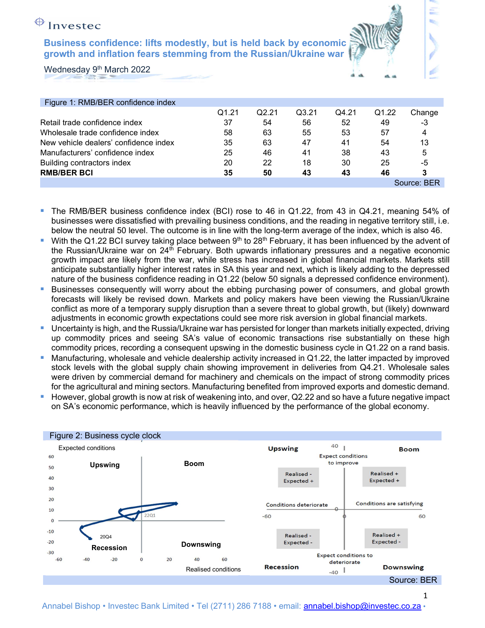# $\bigoplus$  Investec

Business confidence: lifts modestly, but is held back by economic growth and inflation fears stemming from the Russian/Ukraine war



| Figure 1: RMB/BER confidence index    |       |       |       |       |       |             |
|---------------------------------------|-------|-------|-------|-------|-------|-------------|
|                                       | Q1.21 | Q2.21 | Q3.21 | Q4.21 | Q1.22 | Change      |
| Retail trade confidence index         | 37    | 54    | 56    | 52    | 49    | -3          |
| Wholesale trade confidence index      | 58    | 63    | 55    | 53    | 57    | 4           |
| New vehicle dealers' confidence index | 35    | 63    | 47    | 41    | 54    | 13          |
| Manufacturers' confidence index       | 25    | 46    | 41    | 38    | 43    | 5           |
| Building contractors index            | 20    | 22    | 18    | 30    | 25    | -5          |
| <b>RMB/BER BCI</b>                    | 35    | 50    | 43    | 43    | 46    |             |
|                                       |       |       |       |       |       | Source: BER |

- The RMB/BER business confidence index (BCI) rose to 46 in Q1.22, from 43 in Q4.21, meaning 54% of businesses were dissatisfied with prevailing business conditions, and the reading in negative territory still, i.e. below the neutral 50 level. The outcome is in line with the long-term average of the index, which is also 46.
- With the Q1.22 BCI survey taking place between 9<sup>th</sup> to 28<sup>th</sup> February, it has been influenced by the advent of the Russian/Ukraine war on 24th February. Both upwards inflationary pressures and a negative economic growth impact are likely from the war, while stress has increased in global financial markets. Markets still anticipate substantially higher interest rates in SA this year and next, which is likely adding to the depressed nature of the business confidence reading in Q1.22 (below 50 signals a depressed confidence environment).
- **Businesses consequently will worry about the ebbing purchasing power of consumers, and global growth** forecasts will likely be revised down. Markets and policy makers have been viewing the Russian/Ukraine conflict as more of a temporary supply disruption than a severe threat to global growth, but (likely) downward adjustments in economic growth expectations could see more risk aversion in global financial markets.
- Uncertainty is high, and the Russia/Ukraine war has persisted for longer than markets initially expected, driving up commodity prices and seeing SA's value of economic transactions rise substantially on these high commodity prices, recording a consequent upswing in the domestic business cycle in Q1.22 on a rand basis.
- Manufacturing, wholesale and vehicle dealership activity increased in Q1.22, the latter impacted by improved stock levels with the global supply chain showing improvement in deliveries from Q4.21. Wholesale sales were driven by commercial demand for machinery and chemicals on the impact of strong commodity prices for the agricultural and mining sectors. Manufacturing benefited from improved exports and domestic demand.
- However, global growth is now at risk of weakening into, and over,  $Q2.22$  and so have a future negative impact on SA's economic performance, which is heavily influenced by the performance of the global economy.

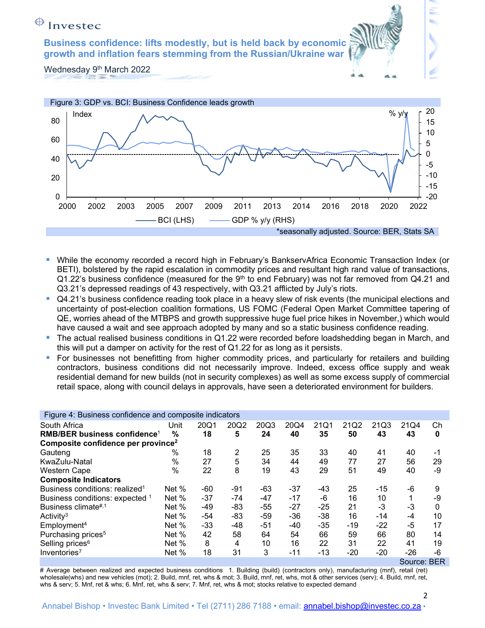Wednesday 9<sup>th</sup> March 2022



- While the economy recorded a record high in February's BankservAfrica Economic Transaction Index (or BETI), bolstered by the rapid escalation in commodity prices and resultant high rand value of transactions,  $Q1.22$ 's business confidence (measured for the 9<sup>th</sup> to end February) was not far removed from  $Q4.21$  and Q3.21's depressed readings of 43 respectively, with Q3.21 afflicted by July's riots.
- Q4.21's business confidence reading took place in a heavy slew of risk events (the municipal elections and uncertainty of post-election coalition formations, US FOMC (Federal Open Market Committee tapering of QE, worries ahead of the MTBPS and growth suppressive huge fuel price hikes in November,) which would have caused a wait and see approach adopted by many and so a static business confidence reading.
- The actual realised business conditions in Q1.22 were recorded before loadshedding began in March, and this will put a damper on activity for the rest of Q1.22 for as long as it persists.
- For businesses not benefitting from higher commodity prices, and particularly for retailers and building contractors, business conditions did not necessarily improve. Indeed, excess office supply and weak residential demand for new builds (not in security complexes) as well as some excess supply of commercial retail space, along with council delays in approvals, have seen a deteriorated environment for builders.

| Figure 4: Business confidence and composite indicators |               |       |       |       |       |       |       |       |       |    |  |  |  |
|--------------------------------------------------------|---------------|-------|-------|-------|-------|-------|-------|-------|-------|----|--|--|--|
| South Africa                                           | Unit          | 20Q1  | 20Q2  | 20Q3  | 20Q4  | 21Q1  | 21Q2  | 21Q3  | 21Q4  | Сh |  |  |  |
| RMB/BER business confidence <sup>1</sup>               | $\%$          | 18    | 5     | 24    | 40    | 35    | 50    | 43    | 43    | 0  |  |  |  |
| Composite confidence per province <sup>2</sup>         |               |       |       |       |       |       |       |       |       |    |  |  |  |
| Gauteng                                                | %             | 18    | 2     | 25    | 35    | 33    | 40    | 41    | 40    | -1 |  |  |  |
| KwaZulu-Natal                                          | %             | 27    | 5     | 34    | 44    | 49    | 77    | 27    | 56    | 29 |  |  |  |
| Western Cape                                           | $\frac{0}{0}$ | 22    | 8     | 19    | 43    | 29    | 51    | 49    | 40    | -9 |  |  |  |
| <b>Composite Indicators</b>                            |               |       |       |       |       |       |       |       |       |    |  |  |  |
| Business conditions: realized <sup>1</sup>             | Net %         | -60   | -91   | -63   | $-37$ | -43   | 25    | $-15$ | -6    | 9  |  |  |  |
| Business conditions: expected 1                        | Net %         | $-37$ | $-74$ | $-47$ | $-17$ | -6    | 16    | 10    |       | -9 |  |  |  |
| Business climate#,1                                    | Net %         | -49   | -83   | $-55$ | $-27$ | $-25$ | 21    | -3    | $-3$  | 0  |  |  |  |
| Activity <sup>3</sup>                                  | Net %         | -54   | -83   | $-59$ | $-36$ | $-38$ | 16    | $-14$ | $-4$  | 10 |  |  |  |
| Employment <sup>4</sup>                                | Net %         | $-33$ | -48   | $-51$ | -40   | $-35$ | -19   | $-22$ | -5    | 17 |  |  |  |
| Purchasing prices <sup>5</sup>                         | Net %         | 42    | 58    | 64    | 54    | 66    | 59    | 66    | 80    | 14 |  |  |  |
| Selling prices <sup>6</sup>                            | Net %         | 8     | 4     | 10    | 16    | 22    | 31    | 22    | 41    | 19 |  |  |  |
| Inventories <sup>7</sup>                               | Net %         | 18    | 31    | 3     | -11   | $-13$ | $-20$ | $-20$ | $-26$ | -6 |  |  |  |

Source: BER

# Average between realized and expected business conditions 1. Building (build) (contractors only), manufacturing (mnf), retail (ret) wholesale(whs) and new vehicles (mot); 2. Build, mnf, ret, whs & mot; 3. Build, mnf, ret, whs, mot & other services (serv); 4. Build, mnf, ret, whs & serv; 5. Mnf, ret & whs; 6. Mnf, ret, whs & serv; 7. Mnf, ret, whs & mot; stocks relative to expected demand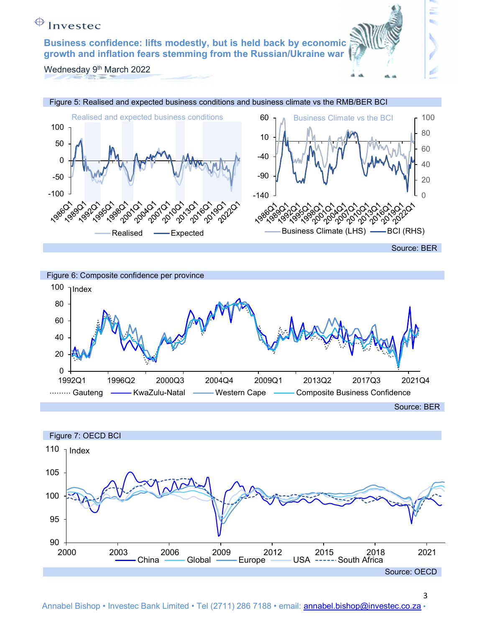Wednesday 9<sup>th</sup> March 2022





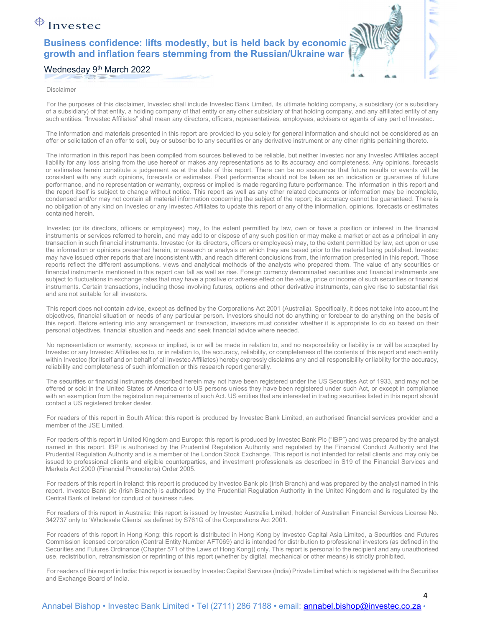## Wednesday 9<sup>th</sup> March 2022

### Disclaimer

For the purposes of this disclaimer, Investec shall include Investec Bank Limited, its ultimate holding company, a subsidiary (or a subsidiary of a subsidiary) of that entity, a holding company of that entity or any other subsidiary of that holding company, and any affiliated entity of any such entities. "Investec Affiliates" shall mean any directors, officers, representatives, employees, advisers or agents of any part of Investec.

The information and materials presented in this report are provided to you solely for general information and should not be considered as an offer or solicitation of an offer to sell, buy or subscribe to any securities or any derivative instrument or any other rights pertaining thereto.

The information in this report has been compiled from sources believed to be reliable, but neither Investec nor any Investec Affiliates accept liability for any loss arising from the use hereof or makes any representations as to its accuracy and completeness. Any opinions, forecasts or estimates herein constitute a judgement as at the date of this report. There can be no assurance that future results or events will be consistent with any such opinions, forecasts or estimates. Past performance should not be taken as an indication or guarantee of future performance, and no representation or warranty, express or implied is made regarding future performance. The information in this report and the report itself is subject to change without notice. This report as well as any other related documents or information may be incomplete, condensed and/or may not contain all material information concerning the subject of the report; its accuracy cannot be guaranteed. There is no obligation of any kind on Investec or any Investec Affiliates to update this report or any of the information, opinions, forecasts or estimates contained herein.

Investec (or its directors, officers or employees) may, to the extent permitted by law, own or have a position or interest in the financial instruments or services referred to herein, and may add to or dispose of any such position or may make a market or act as a principal in any transaction in such financial instruments. Investec (or its directors, officers or employees) may, to the extent permitted by law, act upon or use the information or opinions presented herein, or research or analysis on which they are based prior to the material being published. Investec may have issued other reports that are inconsistent with, and reach different conclusions from, the information presented in this report. Those reports reflect the different assumptions, views and analytical methods of the analysts who prepared them. The value of any securities or financial instruments mentioned in this report can fall as well as rise. Foreign currency denominated securities and financial instruments are subject to fluctuations in exchange rates that may have a positive or adverse effect on the value, price or income of such securities or financial instruments. Certain transactions, including those involving futures, options and other derivative instruments, can give rise to substantial risk and are not suitable for all investors.

This report does not contain advice, except as defined by the Corporations Act 2001 (Australia). Specifically, it does not take into account the objectives, financial situation or needs of any particular person. Investors should not do anything or forebear to do anything on the basis of this report. Before entering into any arrangement or transaction, investors must consider whether it is appropriate to do so based on their personal objectives, financial situation and needs and seek financial advice where needed.

No representation or warranty, express or implied, is or will be made in relation to, and no responsibility or liability is or will be accepted by Investec or any Investec Affiliates as to, or in relation to, the accuracy, reliability, or completeness of the contents of this report and each entity within Investec (for itself and on behalf of all Investec Affiliates) hereby expressly disclaims any and all responsibility or liability for the accuracy, reliability and completeness of such information or this research report generally.

The securities or financial instruments described herein may not have been registered under the US Securities Act of 1933, and may not be offered or sold in the United States of America or to US persons unless they have been registered under such Act, or except in compliance with an exemption from the registration requirements of such Act. US entities that are interested in trading securities listed in this report should contact a US registered broker dealer.

For readers of this report in South Africa: this report is produced by Investec Bank Limited, an authorised financial services provider and a member of the JSE Limited.

For readers of this report in United Kingdom and Europe: this report is produced by Investec Bank Plc ("IBP") and was prepared by the analyst named in this report. IBP is authorised by the Prudential Regulation Authority and regulated by the Financial Conduct Authority and the Prudential Regulation Authority and is a member of the London Stock Exchange. This report is not intended for retail clients and may only be issued to professional clients and eligible counterparties, and investment professionals as described in S19 of the Financial Services and Markets Act 2000 (Financial Promotions) Order 2005.

For readers of this report in Ireland: this report is produced by Investec Bank plc (Irish Branch) and was prepared by the analyst named in this report. Investec Bank plc (Irish Branch) is authorised by the Prudential Regulation Authority in the United Kingdom and is regulated by the Central Bank of Ireland for conduct of business rules.

For readers of this report in Australia: this report is issued by Investec Australia Limited, holder of Australian Financial Services License No. 342737 only to 'Wholesale Clients' as defined by S761G of the Corporations Act 2001.

For readers of this report in Hong Kong: this report is distributed in Hong Kong by Investec Capital Asia Limited, a Securities and Futures Commission licensed corporation (Central Entity Number AFT069) and is intended for distribution to professional investors (as defined in the Securities and Futures Ordinance (Chapter 571 of the Laws of Hong Kong)) only. This report is personal to the recipient and any unauthorised use, redistribution, retransmission or reprinting of this report (whether by digital, mechanical or other means) is strictly prohibited.

For readers of this report in India: this report is issued by Investec Capital Services (India) Private Limited which is registered with the Securities and Exchange Board of India.

### Annabel Bishop • Investec Bank Limited • Tel (2711) 286 7188 • email: **annabel.bishop@investec.co.za** •